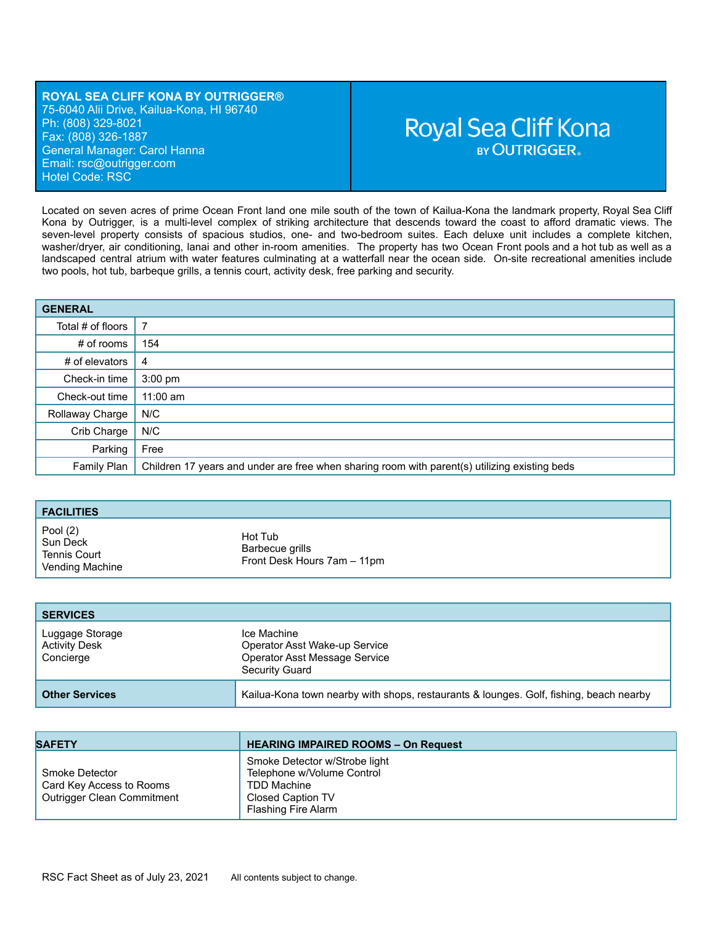### **ROYAL SEA CLIFF KONA BY OUTRIGGER®** 75-6040 Alii Drive, Kailua-Kona, HI 96740 Ph: (808) 329-8021 Fax: (808) 326-1887 General Manager: Carol Hanna Email: rsc[@outrigger.com](mailto:orf@outrigger.com) Hotel Code: RSC

# **Royal Sea Cliff Kona BY OUTRIGGER.**

Located on seven acres of prime Ocean Front land one mile south of the town of Kailua-Kona the landmark property, Royal Sea Cliff Kona by Outrigger, is a multi-level complex of striking architecture that descends toward the coast to afford dramatic views. The seven-level property consists of spacious studios, one- and two-bedroom suites. Each deluxe unit includes a complete kitchen, washer/dryer, air conditioning, lanai and other in-room amenities. The property has two Ocean Front pools and a hot tub as well as a landscaped central atrium with water features culminating at a watterfall near the ocean side. On-site recreational amenities include two pools, hot tub, barbeque grills, a tennis court, activity desk, free parking and security.

| <b>GENERAL</b>    |                                                                                               |
|-------------------|-----------------------------------------------------------------------------------------------|
| Total # of floors | 7                                                                                             |
| $#$ of rooms      | 154                                                                                           |
| # of elevators    | 4                                                                                             |
| Check-in time     | $3:00 \text{ pm}$                                                                             |
| Check-out time    | $11:00$ am                                                                                    |
| Rollaway Charge   | N/C                                                                                           |
| Crib Charge       | N/C                                                                                           |
| Parking           | Free                                                                                          |
| Family Plan       | Children 17 years and under are free when sharing room with parent(s) utilizing existing beds |

| <b>FACILITIES</b>    |                             |
|----------------------|-----------------------------|
| Pool (2)<br>Sun Deck | Hot Tub                     |
| <b>Tennis Court</b>  | Barbecue grills             |
| Vending Machine      | Front Desk Hours 7am - 11pm |

| <b>SERVICES</b>                                      |                                                                                                 |
|------------------------------------------------------|-------------------------------------------------------------------------------------------------|
| Luggage Storage<br><b>Activity Desk</b><br>Concierge | Ice Machine<br>Operator Asst Wake-up Service<br>Operator Asst Message Service<br>Security Guard |
| <b>Other Services</b>                                | Kailua-Kona town nearby with shops, restaurants & lounges. Golf, fishing, beach nearby          |

| <b>SAFETY</b>                                                            | <b>HEARING IMPAIRED ROOMS - On Request</b>                                                                                           |
|--------------------------------------------------------------------------|--------------------------------------------------------------------------------------------------------------------------------------|
| Smoke Detector<br>Card Key Access to Rooms<br>Outrigger Clean Commitment | Smoke Detector w/Strobe light<br>Telephone w/Volume Control<br><b>TDD Machine</b><br><b>Closed Caption TV</b><br>Flashing Fire Alarm |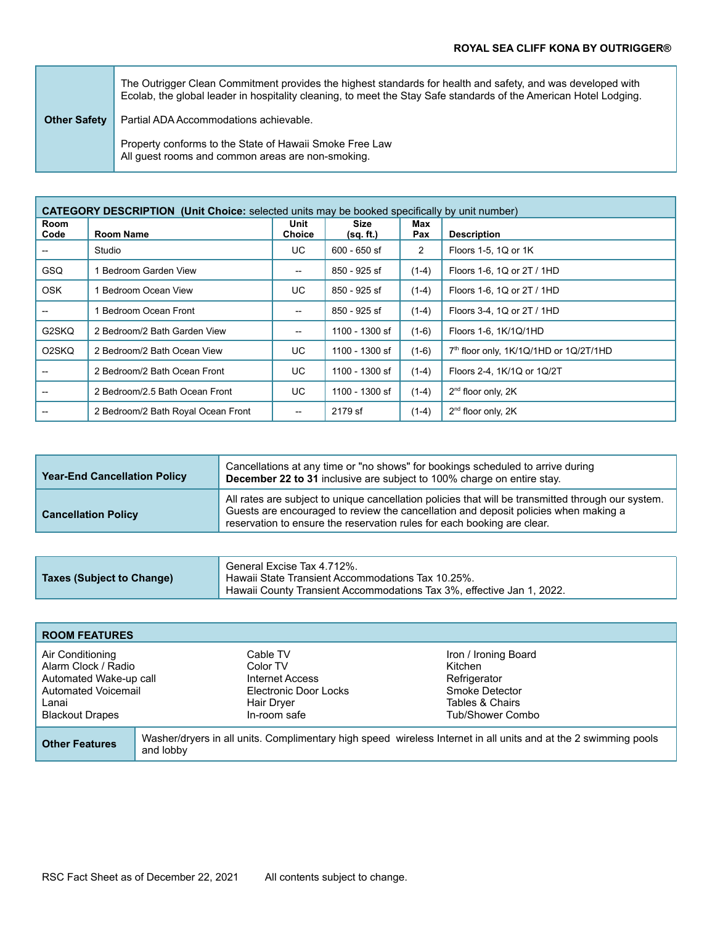|                     | The Outrigger Clean Commitment provides the highest standards for health and safety, and was developed with<br>Ecolab, the global leader in hospitality cleaning, to meet the Stay Safe standards of the American Hotel Lodging. |
|---------------------|----------------------------------------------------------------------------------------------------------------------------------------------------------------------------------------------------------------------------------|
| <b>Other Safety</b> | Partial ADA Accommodations achievable.                                                                                                                                                                                           |
|                     | Property conforms to the State of Hawaii Smoke Free Law<br>All guest rooms and common areas are non-smoking.                                                                                                                     |

| <b>CATEGORY DESCRIPTION (Unit Choice:</b> selected units may be booked specifically by unit number) |                                    |                          |                   |                |                                        |
|-----------------------------------------------------------------------------------------------------|------------------------------------|--------------------------|-------------------|----------------|----------------------------------------|
| Room<br>Code                                                                                        | <b>Room Name</b>                   | Unit<br><b>Choice</b>    | Size<br>(sq. ft.) | Max<br>Pax     | <b>Description</b>                     |
|                                                                                                     | Studio                             | UC.                      | 600 - 650 sf      | $\overline{2}$ | Floors 1-5, 1Q or 1K                   |
| <b>GSQ</b>                                                                                          | Bedroom Garden View                | $-$                      | 850 - 925 sf      | $(1-4)$        | Floors 1-6, 1Q or 2T / 1HD             |
| <b>OSK</b>                                                                                          | Bedroom Ocean View                 | UC.                      | 850 - 925 sf      | $(1-4)$        | Floors 1-6, 1Q or 2T / 1HD             |
|                                                                                                     | Bedroom Ocean Front                | $-$                      | 850 - 925 sf      | $(1-4)$        | Floors 3-4, 1Q or 2T / 1HD             |
| G2SKQ                                                                                               | 2 Bedroom/2 Bath Garden View       | $\overline{\phantom{a}}$ | 1100 - 1300 sf    | $(1-6)$        | Floors 1-6, 1K/1Q/1HD                  |
| O <sub>2</sub> SKQ                                                                                  | 2 Bedroom/2 Bath Ocean View        | UC.                      | 1100 - 1300 sf    | $(1-6)$        | 7th floor only, 1K/1Q/1HD or 1Q/2T/1HD |
|                                                                                                     | 2 Bedroom/2 Bath Ocean Front       | UC                       | 1100 - 1300 sf    | $(1-4)$        | Floors 2-4, 1K/1Q or 1Q/2T             |
|                                                                                                     | 2 Bedroom/2.5 Bath Ocean Front     | UC                       | 1100 - 1300 sf    | $(1-4)$        | 2 <sup>nd</sup> floor only, 2K         |
|                                                                                                     | 2 Bedroom/2 Bath Royal Ocean Front | $\overline{\phantom{a}}$ | 2179 sf           | $(1-4)$        | $2nd$ floor only, $2K$                 |

| <b>Year-End Cancellation Policy</b> | Cancellations at any time or "no shows" for bookings scheduled to arrive during<br>December 22 to 31 inclusive are subject to 100% charge on entire stay.                                                                                                            |
|-------------------------------------|----------------------------------------------------------------------------------------------------------------------------------------------------------------------------------------------------------------------------------------------------------------------|
| <b>Cancellation Policy</b>          | All rates are subject to unique cancellation policies that will be transmitted through our system.<br>Guests are encouraged to review the cancellation and deposit policies when making a<br>reservation to ensure the reservation rules for each booking are clear. |

|                           | General Excise Tax 4.712%.                                            |
|---------------------------|-----------------------------------------------------------------------|
| Taxes (Subject to Change) | Hawaii State Transient Accommodations Tax 10.25%.                     |
|                           | Hawaii County Transient Accommodations Tax 3%, effective Jan 1, 2022. |

| <b>ROOM FEATURES</b>                                                                                                        |                                                                                                                              |                                                                                                |                                                                                                          |
|-----------------------------------------------------------------------------------------------------------------------------|------------------------------------------------------------------------------------------------------------------------------|------------------------------------------------------------------------------------------------|----------------------------------------------------------------------------------------------------------|
| Air Conditioning<br>Alarm Clock / Radio<br>Automated Wake-up call<br>Automated Voicemail<br>Lanai<br><b>Blackout Drapes</b> |                                                                                                                              | Cable TV<br>Color TV<br>Internet Access<br>Electronic Door Locks<br>Hair Dryer<br>In-room safe | Iron / Ironing Board<br>Kitchen<br>Refrigerator<br>Smoke Detector<br>Tables & Chairs<br>Tub/Shower Combo |
| <b>Other Features</b>                                                                                                       | Washer/dryers in all units. Complimentary high speed wireless Internet in all units and at the 2 swimming pools<br>and lobby |                                                                                                |                                                                                                          |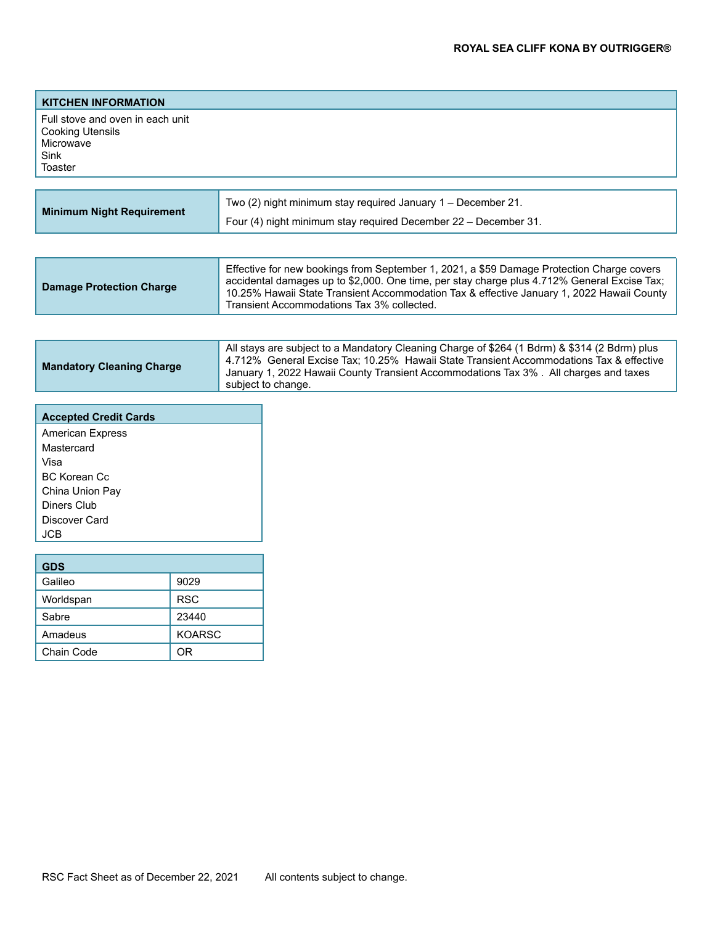| <b>KITCHEN INFORMATION</b>                                                                  |                                                              |
|---------------------------------------------------------------------------------------------|--------------------------------------------------------------|
| Full stove and oven in each unit<br><b>Cooking Utensils</b><br>Microwave<br>Sink<br>Toaster |                                                              |
|                                                                                             |                                                              |
|                                                                                             | Two (2) night minimum stay required January 1 - December 21. |

| <b>Minimum Night Requirement</b> | Four (4) night minimum stay required December 22 – December 31.                                                                                                                                                                                                                                                                     |
|----------------------------------|-------------------------------------------------------------------------------------------------------------------------------------------------------------------------------------------------------------------------------------------------------------------------------------------------------------------------------------|
|                                  |                                                                                                                                                                                                                                                                                                                                     |
| <b>Damage Protection Charge</b>  | Effective for new bookings from September 1, 2021, a \$59 Damage Protection Charge covers<br>accidental damages up to \$2,000. One time, per stay charge plus 4.712% General Excise Tax;<br>10.25% Hawaii State Transient Accommodation Tax & effective January 1, 2022 Hawaii County<br>Transient Accommodations Tax 3% collected. |

| <b>Mandatory Cleaning Charge</b> | All stays are subject to a Mandatory Cleaning Charge of \$264 (1 Bdrm) & \$314 (2 Bdrm) plus<br>4.712% General Excise Tax; 10.25% Hawaii State Transient Accommodations Tax & effective<br>January 1, 2022 Hawaii County Transient Accommodations Tax 3%. All charges and taxes<br>subject to change. |
|----------------------------------|-------------------------------------------------------------------------------------------------------------------------------------------------------------------------------------------------------------------------------------------------------------------------------------------------------|
|                                  |                                                                                                                                                                                                                                                                                                       |

| <b>Accepted Credit Cards</b> |      |  |
|------------------------------|------|--|
| <b>American Express</b>      |      |  |
| Mastercard                   |      |  |
| Visa                         |      |  |
| <b>BC Korean Cc</b>          |      |  |
| China Union Pay              |      |  |
| Diners Club                  |      |  |
| Discover Card                |      |  |
| <b>JCB</b>                   |      |  |
|                              |      |  |
| <b>GDS</b>                   |      |  |
| Galileo                      | 9029 |  |
|                              |      |  |

| Galileo    | 9029          |
|------------|---------------|
| Worldspan  | <b>RSC</b>    |
| Sabre      | 23440         |
| Amadeus    | <b>KOARSC</b> |
| Chain Code | 0R            |
|            |               |